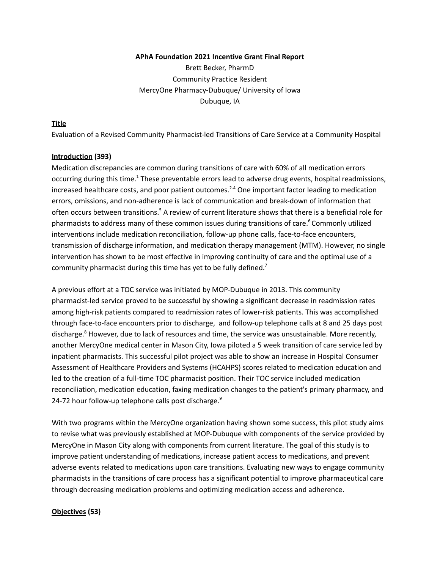#### **APhA Foundation 2021 Incentive Grant Final Report**

Brett Becker, PharmD Community Practice Resident MercyOne Pharmacy-Dubuque/ University of Iowa Dubuque, IA

## **Title**

Evaluation of a Revised Community Pharmacist-led Transitions of Care Service at a Community Hospital

#### **Introduction (393)**

Medication discrepancies are common during transitions of care with 60% of all medication errors occurring during this time.<sup>1</sup> These preventable errors lead to adverse drug events, hospital readmissions, increased healthcare costs, and poor patient outcomes.<sup>2-4</sup> One important factor leading to medication errors, omissions, and non-adherence is lack of communication and break-down of information that often occurs between transitions.<sup>5</sup> A review of current literature shows that there is a beneficial role for pharmacists to address many of these common issues during transitions of care. <sup>6</sup> Commonly utilized interventions include medication reconciliation, follow-up phone calls, face-to-face encounters, transmission of discharge information, and medication therapy management (MTM). However, no single intervention has shown to be most effective in improving continuity of care and the optimal use of a community pharmacist during this time has yet to be fully defined.<sup>7</sup>

A previous effort at a TOC service was initiated by MOP-Dubuque in 2013. This community pharmacist-led service proved to be successful by showing a significant decrease in readmission rates among high-risk patients compared to readmission rates of lower-risk patients. This was accomplished through face-to-face encounters prior to discharge, and follow-up telephone calls at 8 and 25 days post discharge.<sup>8</sup> However, due to lack of resources and time, the service was unsustainable. More recently, another MercyOne medical center in Mason City, Iowa piloted a 5 week transition of care service led by inpatient pharmacists. This successful pilot project was able to show an increase in Hospital Consumer Assessment of Healthcare Providers and Systems (HCAHPS) scores related to medication education and led to the creation of a full-time TOC pharmacist position. Their TOC service included medication reconciliation, medication education, faxing medication changes to the patient's primary pharmacy, and 24-72 hour follow-up telephone calls post discharge.<sup>9</sup>

With two programs within the MercyOne organization having shown some success, this pilot study aims to revise what was previously established at MOP-Dubuque with components of the service provided by MercyOne in Mason City along with components from current literature. The goal of this study is to improve patient understanding of medications, increase patient access to medications, and prevent adverse events related to medications upon care transitions. Evaluating new ways to engage community pharmacists in the transitions of care process has a significant potential to improve pharmaceutical care through decreasing medication problems and optimizing medication access and adherence.

## **Objectives (53)**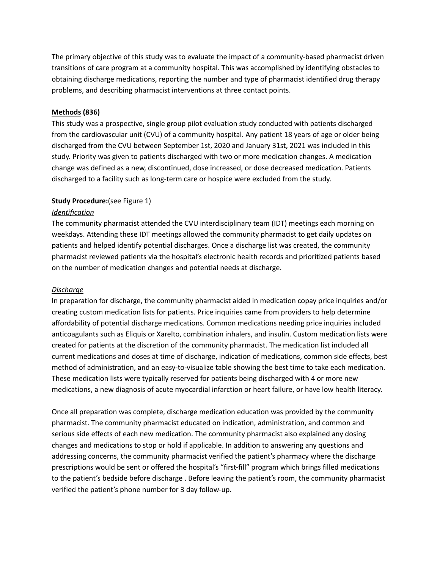The primary objective of this study was to evaluate the impact of a community-based pharmacist driven transitions of care program at a community hospital. This was accomplished by identifying obstacles to obtaining discharge medications, reporting the number and type of pharmacist identified drug therapy problems, and describing pharmacist interventions at three contact points.

## **Methods (836)**

This study was a prospective, single group pilot evaluation study conducted with patients discharged from the cardiovascular unit (CVU) of a community hospital. Any patient 18 years of age or older being discharged from the CVU between September 1st, 2020 and January 31st, 2021 was included in this study. Priority was given to patients discharged with two or more medication changes. A medication change was defined as a new, discontinued, dose increased, or dose decreased medication. Patients discharged to a facility such as long-term care or hospice were excluded from the study.

#### **Study Procedure:**(see Figure 1)

#### *Identification*

The community pharmacist attended the CVU interdisciplinary team (IDT) meetings each morning on weekdays. Attending these IDT meetings allowed the community pharmacist to get daily updates on patients and helped identify potential discharges. Once a discharge list was created, the community pharmacist reviewed patients via the hospital's electronic health records and prioritized patients based on the number of medication changes and potential needs at discharge.

#### *Discharge*

In preparation for discharge, the community pharmacist aided in medication copay price inquiries and/or creating custom medication lists for patients. Price inquiries came from providers to help determine affordability of potential discharge medications. Common medications needing price inquiries included anticoagulants such as Eliquis or Xarelto, combination inhalers, and insulin. Custom medication lists were created for patients at the discretion of the community pharmacist. The medication list included all current medications and doses at time of discharge, indication of medications, common side effects, best method of administration, and an easy-to-visualize table showing the best time to take each medication. These medication lists were typically reserved for patients being discharged with 4 or more new medications, a new diagnosis of acute myocardial infarction or heart failure, or have low health literacy.

Once all preparation was complete, discharge medication education was provided by the community pharmacist. The community pharmacist educated on indication, administration, and common and serious side effects of each new medication. The community pharmacist also explained any dosing changes and medications to stop or hold if applicable. In addition to answering any questions and addressing concerns, the community pharmacist verified the patient's pharmacy where the discharge prescriptions would be sent or offered the hospital's "first-fill" program which brings filled medications to the patient's bedside before discharge . Before leaving the patient's room, the community pharmacist verified the patient's phone number for 3 day follow-up.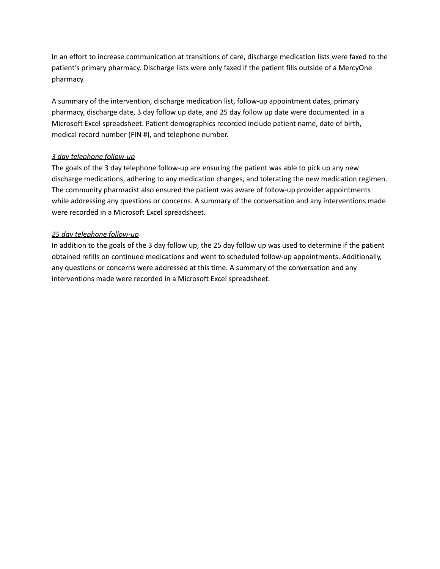In an effort to increase communication at transitions of care, discharge medication lists were faxed to the patient's primary pharmacy. Discharge lists were only faxed if the patient fills outside of a MercyOne pharmacy.

A summary of the intervention, discharge medication list, follow-up appointment dates, primary pharmacy, discharge date, 3 day follow up date, and 25 day follow up date were documented in a Microsoft Excel spreadsheet. Patient demographics recorded include patient name, date of birth, medical record number (FIN #), and telephone number.

## *3 day telephone follow-up*

The goals of the 3 day telephone follow-up are ensuring the patient was able to pick up any new discharge medications, adhering to any medication changes, and tolerating the new medication regimen. The community pharmacist also ensured the patient was aware of follow-up provider appointments while addressing any questions or concerns. A summary of the conversation and any interventions made were recorded in a Microsoft Excel spreadsheet.

## *25 day telephone follow-up*

In addition to the goals of the 3 day follow up, the 25 day follow up was used to determine if the patient obtained refills on continued medications and went to scheduled follow-up appointments. Additionally, any questions or concerns were addressed at this time. A summary of the conversation and any interventions made were recorded in a Microsoft Excel spreadsheet.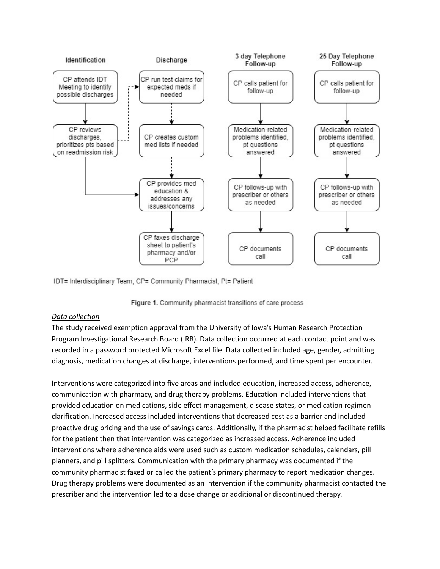

IDT= Interdisciplinary Team, CP= Community Pharmacist, Pt= Patient



## *Data collection*

The study received exemption approval from the University of Iowa's Human Research Protection Program Investigational Research Board (IRB). Data collection occurred at each contact point and was recorded in a password protected Microsoft Excel file. Data collected included age, gender, admitting diagnosis, medication changes at discharge, interventions performed, and time spent per encounter.

Interventions were categorized into five areas and included education, increased access, adherence, communication with pharmacy, and drug therapy problems. Education included interventions that provided education on medications, side effect management, disease states, or medication regimen clarification. Increased access included interventions that decreased cost as a barrier and included proactive drug pricing and the use of savings cards. Additionally, if the pharmacist helped facilitate refills for the patient then that intervention was categorized as increased access. Adherence included interventions where adherence aids were used such as custom medication schedules, calendars, pill planners, and pill splitters. Communication with the primary pharmacy was documented if the community pharmacist faxed or called the patient's primary pharmacy to report medication changes. Drug therapy problems were documented as an intervention if the community pharmacist contacted the prescriber and the intervention led to a dose change or additional or discontinued therapy.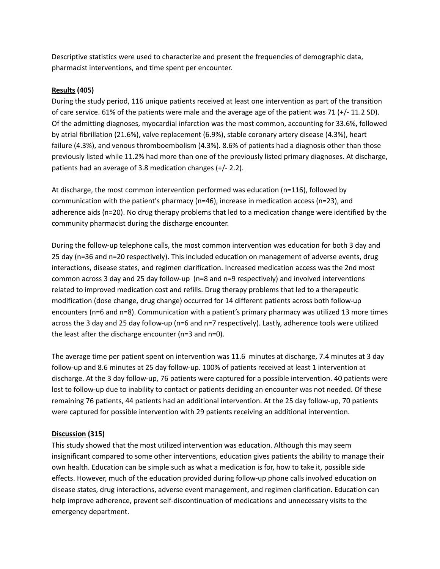Descriptive statistics were used to characterize and present the frequencies of demographic data, pharmacist interventions, and time spent per encounter.

## **Results (405)**

During the study period, 116 unique patients received at least one intervention as part of the transition of care service. 61% of the patients were male and the average age of the patient was 71 (+/- 11.2 SD). Of the admitting diagnoses, myocardial infarction was the most common, accounting for 33.6%, followed by atrial fibrillation (21.6%), valve replacement (6.9%), stable coronary artery disease (4.3%), heart failure (4.3%), and venous thromboembolism (4.3%). 8.6% of patients had a diagnosis other than those previously listed while 11.2% had more than one of the previously listed primary diagnoses. At discharge, patients had an average of 3.8 medication changes (+/- 2.2).

At discharge, the most common intervention performed was education (n=116), followed by communication with the patient's pharmacy (n=46), increase in medication access (n=23), and adherence aids (n=20). No drug therapy problems that led to a medication change were identified by the community pharmacist during the discharge encounter.

During the follow-up telephone calls, the most common intervention was education for both 3 day and 25 day (n=36 and n=20 respectively). This included education on management of adverse events, drug interactions, disease states, and regimen clarification. Increased medication access was the 2nd most common across 3 day and 25 day follow-up (n=8 and n=9 respectively) and involved interventions related to improved medication cost and refills. Drug therapy problems that led to a therapeutic modification (dose change, drug change) occurred for 14 different patients across both follow-up encounters (n=6 and n=8). Communication with a patient's primary pharmacy was utilized 13 more times across the 3 day and 25 day follow-up (n=6 and n=7 respectively). Lastly, adherence tools were utilized the least after the discharge encounter (n=3 and n=0).

The average time per patient spent on intervention was 11.6 minutes at discharge, 7.4 minutes at 3 day follow-up and 8.6 minutes at 25 day follow-up. 100% of patients received at least 1 intervention at discharge. At the 3 day follow-up, 76 patients were captured for a possible intervention. 40 patients were lost to follow-up due to inability to contact or patients deciding an encounter was not needed. Of these remaining 76 patients, 44 patients had an additional intervention. At the 25 day follow-up, 70 patients were captured for possible intervention with 29 patients receiving an additional intervention.

# **Discussion (315)**

This study showed that the most utilized intervention was education. Although this may seem insignificant compared to some other interventions, education gives patients the ability to manage their own health. Education can be simple such as what a medication is for, how to take it, possible side effects. However, much of the education provided during follow-up phone calls involved education on disease states, drug interactions, adverse event management, and regimen clarification. Education can help improve adherence, prevent self-discontinuation of medications and unnecessary visits to the emergency department.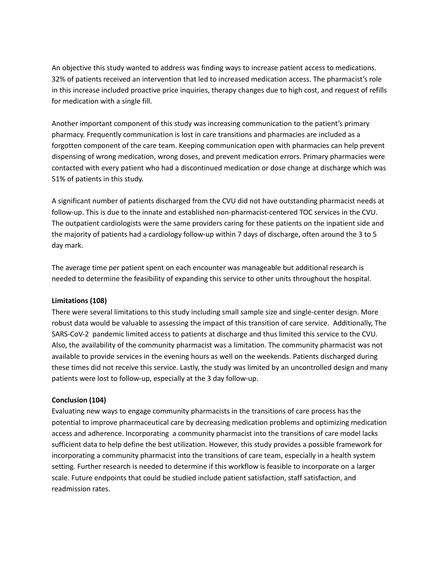An objective this study wanted to address was finding ways to increase patient access to medications. 32% of patients received an intervention that led to increased medication access. The pharmacist's role in this increase included proactive price inquiries, therapy changes due to high cost, and request of refills for medication with a single fill.

Another important component of this study was increasing communication to the patient's primary pharmacy. Frequently communication is lost in care transitions and pharmacies are included as a forgotten component of the care team. Keeping communication open with pharmacies can help prevent dispensing of wrong medication, wrong doses, and prevent medication errors. Primary pharmacies were contacted with every patient who had a discontinued medication or dose change at discharge which was 51% of patients in this study.

A significant number of patients discharged from the CVU did not have outstanding pharmacist needs at follow-up. This is due to the innate and established non-pharmacist-centered TOC services in the CVU. The outpatient cardiologists were the same providers caring for these patients on the inpatient side and the majority of patients had a cardiology follow-up within 7 days of discharge, often around the 3 to 5 day mark.

The average time per patient spent on each encounter was manageable but additional research is needed to determine the feasibility of expanding this service to other units throughout the hospital.

## **Limitations (108)**

There were several limitations to this study including small sample size and single-center design. More robust data would be valuable to assessing the impact of this transition of care service. Additionally, The SARS-CoV-2 pandemic limited access to patients at discharge and thus limited this service to the CVU. Also, the availability of the community pharmacist was a limitation. The community pharmacist was not available to provide services in the evening hours as well on the weekends. Patients discharged during these times did not receive this service. Lastly, the study was limited by an uncontrolled design and many patients were lost to follow-up, especially at the 3 day follow-up.

## **Conclusion (104)**

Evaluating new ways to engage community pharmacists in the transitions of care process has the potential to improve pharmaceutical care by decreasing medication problems and optimizing medication access and adherence. Incorporating a community pharmacist into the transitions of care model lacks sufficient data to help define the best utilization. However, this study provides a possible framework for incorporating a community pharmacist into the transitions of care team, especially in a health system setting. Further research is needed to determine if this workflow is feasible to incorporate on a larger scale. Future endpoints that could be studied include patient satisfaction, staff satisfaction, and readmission rates.